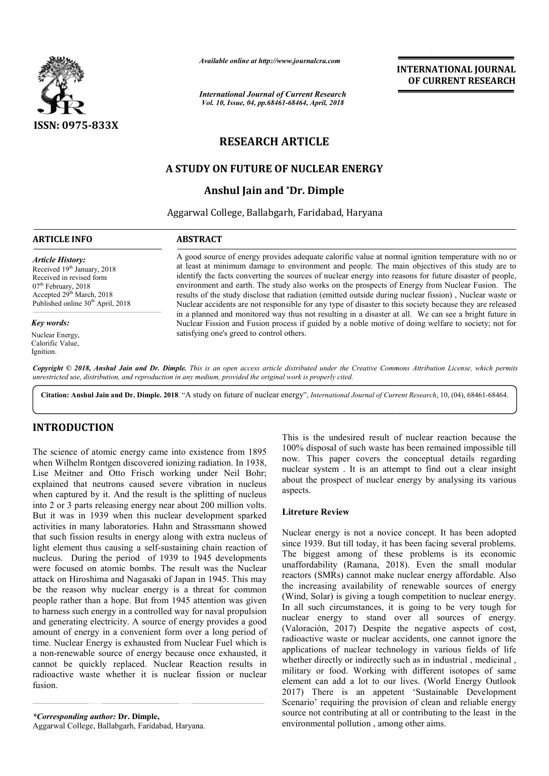

*Available online at http://www.journalcra.com*

*International Journal of Current Research Vol. 10, Issue, 04, pp.68461-68464, April, 2018*

## **INTERNATIONAL JOURNAL OF CURRENT RESEARCH**

# **RESEARCH ARTICLE**

## **A STUDY ON FUTURE OF NUCLEAR ENERGY**

## **Anshul Jain and \*Dr. Dimple**

Aggarwal College, Ballabgarh, Faridabad, Haryana

## **ARTICLE INFO ABSTRACT**

*Article History:* Received 19<sup>th</sup> January, 2018 Received in revised form 07<sup>th</sup> February, 2018 Accepted 29<sup>th</sup> March, 2018 Published online 30<sup>th</sup> April, 2018

*Key words:*

Nuclear Energy, Calorific Value, Ignition.

A good source of energy provides adequate calorific value at normal ignition temperature with no or at least at minimum damage to environment and people. The main objectives of this study are to identify the facts converting the sources of nuclear energy into reasons for future disaster of people, environme environment and earth. The study also works on the prospects of Energy from Nuclear Fusion. The results of the study disclose that radiation (emitted outside during nuclear fission) , Nuclear waste or Nuclear accidents are not responsible for any type of disaster to this society because they are released in a planned and monitored way thus not resulting in a disaster at all. We can see a bright future in Nuclear Fission and Fusion process if guided by a noble motive of doing welfare to society; not for satisfying one's greed to control others. A good source of energy provides adequate calorific value at normal ignition temperature with no or at least at minimum damage to environment and people. The main objectives of this study are to identify the facts converti

Copyright © 2018, Anshul Jain and Dr. Dimple. This is an open access article distributed under the Creative Commons Attribution License, which permits *unrestricted use, distribution, and reproduction in any medium, provided the original work is properly cited.*

Citation: Anshul Jain and Dr. Dimple. 2018. "A study on future of nuclear energy", *International Journal of Current Research*, 10, (04), 68461-68464.

## **INTRODUCTION**

The science of atomic energy came into existence from 1895 when Wilhelm Rontgen discovered ionizing radiation. In 1938, Lise Meitner and Otto Frisch working under Neil Bohr; explained that neutrons caused severe vibration in nucleus when captured by it. And the result is the splitting of nucleus into 2 or 3 parts releasing energy near about 200 million volts. But it was in 1939 when this nuclear development sparked activities in many laboratories. Hahn and Strassmann showed that such fission results in energy along with extra nucleus of light element thus causing a self-sustaining chain reaction of nucleus. During the period of 1939 to 1945 developments were focused on atomic bombs. The result was the Nuclear attack on Hiroshima and Nagasaki of Japan in 1945. This may be the reason why nuclear energy is a threat for common people rather than a hope. But from 1945 attention was given to harness such energy in a controlled way for naval propulsion and generating electricity. A source of energy provides a good amount of energy in a convenient form over a long period of time. Nuclear Energy is exhausted from Nuclear Fuel which is a non-renewable source of energy because once exhausted, it<br>
cannot be quickly replaced. Nuclear Reaction results in<br>
radioactive waste whether it is nuclear fission or nuclear<br>
fusion.<br> **Corresponding author: Dr. Dimple,** cannot be quickly replaced. Nuclear Reaction results in radioactive waste whether it is nuclear fission or nuclear fusion. ured by it. And the result is the splitting of nucleus<br>parts releasing energy near about 200 million volts.<br>s in 1939 when this nuclear development sparked<br>in many laboratories. Hahn and Strassmann showed<br>fission results i

*\*Corresponding author:* **Dr. Dimple,** Aggarwal College, Ballabgarh, Faridabad, Haryana

This is the undesired result of nuclear reaction because the This is the undesired result of nuclear reaction because the 100% disposal of such waste has been remained impossible till now. This paper covers the conceptual details regarding nuclear system . It is an attempt to find out a clear insight about the prospect of nuclear energy by analysing its various aspects.

## **Litreture Review**

Nuclear energy is not a novice concept. It has been adopted since 1939. But till today, it has been facing several problems. The biggest among of these problems is its economic unaffordability (Ramana, 2018). Even the small modular reactors (SMRs) cannot make nuclear energy affordable. Also the increasing availability of renewable sources of energy (Wind, Solar) is giving a tough competition to nuclear energy. In all such circumstances, it is going to be very tough for nuclear energy to stand over all sources of energy. (Valoración, 2017) Despite the negative aspects of cost, radioactive waste or nuclear accidents, one cannot ignore the applications of nuclear technology in various fields of life whether directly or indirectly such as in industrial, medicinal, military or food. Working with different isotopes of same element can add a lot to our lives. (World Energy Outlook 2017) There is an appetent 'Sustainable Development Scenario' requiring the provision of clean and reliable energy source not contributing at all or contributing to the least in the environmental pollution , among other aims. This paper covers the conceptual details regarding<br>ar system. It is an attempt to find out a clear insight<br>the prospect of nuclear energy by analysing its various<br>ts.<br>ture Review<br>ar energy is not a novice concept. It has b Wind, Solar) is giving a tough competition to nuclear energy.<br>In all such circumstances, it is going to be very tough for<br>nuclear energy to stand over all sources of energy. dioactive waste or nuclear accidents, one cannot ignore the plications of nuclear technology in various fields of life ether directly or indirectly such as in industrial , medicinal , litary or food. Working with different INTERNATIONAL JOURNAL<br>
OF CURRENT RESEARCH<br>
OF CURRENT RESEARCH<br>
OF CURRENT RESEARCH<br>
And mani objectives of this study are to<br>
the main objective for study are to<br>
the main objective broads for future dissater of people.<br>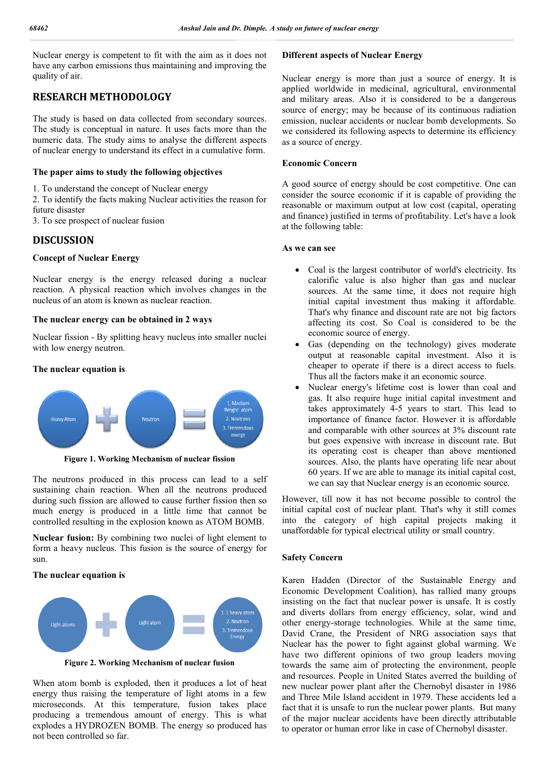Nuclear energy is competent to fit with the aim as it does not have any carbon emissions thus maintaining and improving the quality of air.

## **RESEARCH METHODOLOGY**

The study is based on data collected from secondary sources. The study is conceptual in nature. It uses facts more than the numeric data. The study aims to analyse the different aspects of nuclear energy to understand its effect in a cumulative form.

#### **The paper aims to study the following objectives**

1. To understand the concept of Nuclear energy

2. To identify the facts making Nuclear activities the reason for future disaster

3. To see prospect of nuclear fusion

#### **DISCUSSION**

#### **Concept of Nuclear Energy**

Nuclear energy is the energy released during a nuclear reaction. A physical reaction which involves changes in the nucleus of an atom is known as nuclear reaction.

#### **The nuclear energy can be obtained in 2 ways**

Nuclear fission - By splitting heavy nucleus into smaller nuclei with low energy neutron.

#### **The nuclear equation is**



**Figure 1. Working Mechanism of nuclear fission**

The neutrons produced in this process can lead to a self sustaining chain reaction. When all the neutrons produced during such fission are allowed to cause further fission then so much energy is produced in a little time that cannot be controlled resulting in the explosion known as ATOM BOMB.

**Nuclear fusion:** By combining two nuclei of light element to form a heavy nucleus. This fusion is the source of energy for sun.

#### **The nuclear equation is**



**Figure 2. Working Mechanism of nuclear fusion**

When atom bomb is exploded, then it produces a lot of heat energy thus raising the temperature of light atoms in a few microseconds. At this temperature, fusion takes place producing a tremendous amount of energy. This is what explodes a HYDROZEN BOMB. The energy so produced has not been controlled so far.

#### **Different aspects of Nuclear Energy**

Nuclear energy is more than just a source of energy. It is applied worldwide in medicinal, agricultural, environmental and military areas. Also it is considered to be a dangerous source of energy; may be because of its continuous radiation emission, nuclear accidents or nuclear bomb developments. So we considered its following aspects to determine its efficiency as a source of energy.

#### **Economic Concern**

A good source of energy should be cost competitive. One can consider the source economic if it is capable of providing the reasonable or maximum output at low cost (capital, operating and finance) justified in terms of profitability. Let's have a look at the following table:

#### **As we can see**

- Coal is the largest contributor of world's electricity. Its calorific value is also higher than gas and nuclear sources. At the same time, it does not require high initial capital investment thus making it affordable. That's why finance and discount rate are not big factors affecting its cost. So Coal is considered to be the economic source of energy.
- Gas (depending on the technology) gives moderate output at reasonable capital investment. Also it is cheaper to operate if there is a direct access to fuels. Thus all the factors make it an economic source.
- Nuclear energy's lifetime cost is lower than coal and gas. It also require huge initial capital investment and takes approximately 4-5 years to start. This lead to importance of finance factor. However it is affordable and comparable with other sources at 3% discount rate but goes expensive with increase in discount rate. But its operating cost is cheaper than above mentioned sources. Also, the plants have operating life near about 60 years. If we are able to manage its initial capital cost, we can say that Nuclear energy is an economic source.

However, till now it has not become possible to control the initial capital cost of nuclear plant. That's why it still comes into the category of high capital projects making it unaffordable for typical electrical utility or small country.

#### **Safety Concern**

Karen Hadden (Director of the Sustainable Energy and Economic Development Coalition), has rallied many groups insisting on the fact that nuclear power is unsafe. It is costly and diverts dollars from energy efficiency, solar, wind and other energy-storage technologies. While at the same time, David Crane, the President of NRG association says that Nuclear has the power to fight against global warming. We have two different opinions of two group leaders moving towards the same aim of protecting the environment, people and resources. People in United States averred the building of new nuclear power plant after the Chernobyl disaster in 1986 and Three Mile Island accident in 1979. These accidents led a fact that it is unsafe to run the nuclear power plants. But many of the major nuclear accidents have been directly attributable to operator or human error like in case of Chernobyl disaster.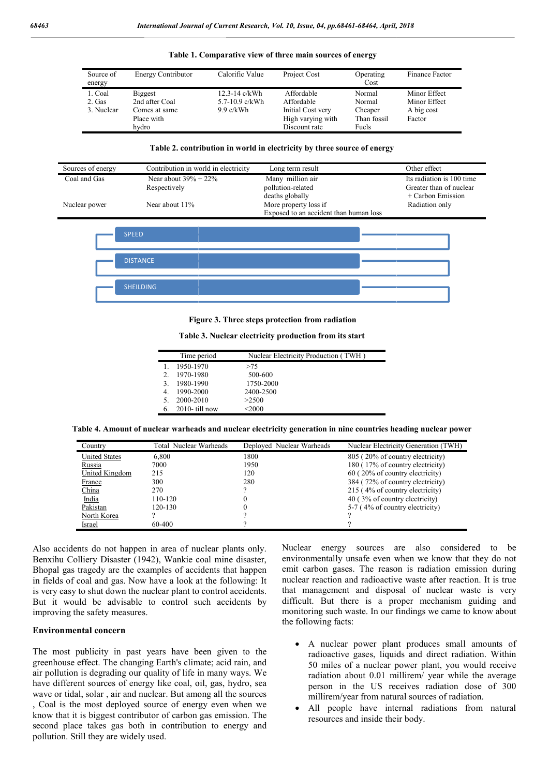| Source of<br>energy | Energy Contributor | Calorific Value    | Project Cost      | Operating<br>Cost | Finance Factor |
|---------------------|--------------------|--------------------|-------------------|-------------------|----------------|
| 1. Coal             | <b>Biggest</b>     | $12.3 - 14$ c/kWh  | Affordable        | Normal            | Minor Effect   |
| 2. Gas              | 2nd after Coal     | $5.7 - 10.9$ c/kWh | Affordable        | Normal            | Minor Effect   |
| 3. Nuclear          | Comes at same      | $9.9$ c/kWh        | Initial Cost very | Cheaper           | A big cost     |
|                     | Place with         |                    | High varying with | Than fossil       | Factor         |
|                     | hydro              |                    | Discount rate     | Fuels             |                |

**Table 1. Comparative view of three main sources of energy**

#### **Table 2. contribution in world in electricity by three source of energy**

| Contribution in world in electricity | Long term result                       | Other effect              |
|--------------------------------------|----------------------------------------|---------------------------|
| Near about $39\% + 22\%$             | Many million air                       | Its radiation is 100 time |
| Respectively                         | pollution-related                      | Greater than of nuclear   |
|                                      | deaths globally                        | + Carbon Emission         |
| Near about 11%                       | More property loss if                  | Radiation only            |
|                                      | Exposed to an accident than human loss |                           |
|                                      |                                        |                           |



**Figure 3. Three steps protection from radiation**

| Table 3. Nuclear electricity production from its start |  |
|--------------------------------------------------------|--|
|--------------------------------------------------------|--|

|    | Time period       | Nuclear Electricity Production (TWH) |
|----|-------------------|--------------------------------------|
|    | 1950-1970         | >75                                  |
|    | 1970-1980         | 500-600                              |
|    | 1980-1990         | 1750-2000                            |
|    | 1990-2000         | 2400-2500                            |
|    | 2000-2010         | >2500                                |
| 6. | $2010$ - till now | $<$ 2000                             |

**Table 4. Amount of nuclear warheads and nuclear electricity generation in nine countries heading nuclear power nuclear power**

| Source of<br>energy                                 | <b>Energy Contributor</b>                                                                                    | Calorific Value                                | Project Cost                                                            | Operating<br>Cost                                                 | Finance Factor                                                                                  |
|-----------------------------------------------------|--------------------------------------------------------------------------------------------------------------|------------------------------------------------|-------------------------------------------------------------------------|-------------------------------------------------------------------|-------------------------------------------------------------------------------------------------|
| 1. Coal<br>2. Gas<br>3. Nuclear                     | <b>Biggest</b><br>2nd after Coal<br>Comes at same                                                            | 12.3-14 c/kWh<br>5.7-10.9 c/kWh<br>$9.9$ c/kWh | Affordable<br>Affordable<br>Initial Cost very                           | Normal<br>Normal<br>Cheaper                                       | Minor Effect<br>Minor Effect<br>A big cost                                                      |
|                                                     | Place with<br>hydro                                                                                          |                                                | High varying with<br>Discount rate                                      | Than fossil<br>Fuels                                              | Factor                                                                                          |
|                                                     |                                                                                                              |                                                | Table 2. contribution in world in electricity by three source of energy |                                                                   |                                                                                                 |
| ces of energy                                       | Contribution in world in electricity                                                                         |                                                | Long term result                                                        |                                                                   | Other effect                                                                                    |
| l and Gas                                           | Near about $39\% + 22\%$<br>Respectively                                                                     |                                                | Many million air<br>pollution-related<br>deaths globally                |                                                                   | Its radiation is 100 tin<br>Greater than of nucle<br>+ Carbon Emission                          |
| lear power                                          | Near about 11%                                                                                               |                                                | More property loss if<br>Exposed to an accident than human loss         |                                                                   | Radiation only                                                                                  |
|                                                     | <b>SPEED</b>                                                                                                 |                                                |                                                                         |                                                                   |                                                                                                 |
|                                                     |                                                                                                              |                                                |                                                                         |                                                                   |                                                                                                 |
|                                                     | <b>DISTANCE</b>                                                                                              |                                                |                                                                         |                                                                   |                                                                                                 |
|                                                     | <b>SHEILDING</b>                                                                                             |                                                |                                                                         |                                                                   |                                                                                                 |
|                                                     |                                                                                                              |                                                |                                                                         |                                                                   |                                                                                                 |
|                                                     |                                                                                                              |                                                | Figure 3. Three steps protection from radiation                         |                                                                   |                                                                                                 |
|                                                     |                                                                                                              |                                                | Table 3. Nuclear electricity production from its start                  |                                                                   |                                                                                                 |
|                                                     | Time period<br>1950-1970<br>1.                                                                               | >75                                            | Nuclear Electricity Production (TWH)                                    |                                                                   |                                                                                                 |
|                                                     | 1970-1980<br>2.<br>1980-1990<br>3.                                                                           | 500-600<br>1750-2000                           |                                                                         |                                                                   |                                                                                                 |
|                                                     | 1990-2000<br>4.<br>2000-2010<br>5.                                                                           | 2400-2500<br>>2500                             |                                                                         |                                                                   |                                                                                                 |
|                                                     | 2010-till now<br>6.                                                                                          | $<$ 2000 $\,$                                  |                                                                         |                                                                   |                                                                                                 |
|                                                     | able 4. Amount of nuclear warheads and nuclear electricity generation in nine countries heading nuclear powe |                                                |                                                                         |                                                                   |                                                                                                 |
| Country<br><b>United States</b>                     | Total Nuclear Warheads<br>6,800                                                                              | 1800                                           | Deployed Nuclear Warheads                                               | 805 (20% of country electricity)                                  | Nuclear Electricity Generation (TWH)                                                            |
| Russia<br>United Kingdom                            | 7000<br>215                                                                                                  | 1950<br>120                                    |                                                                         | 60 (20% of country electricity)                                   | 180 (17% of country electricity)                                                                |
| France                                              | 300                                                                                                          | 280                                            |                                                                         | 384 (72% of country electricity)                                  |                                                                                                 |
| China<br>India                                      | 270<br>110-120                                                                                               | $\overline{\mathcal{C}}$<br>$\boldsymbol{0}$   |                                                                         | 215 (4% of country electricity)<br>40 (3% of country electricity) |                                                                                                 |
| Pakistan                                            | 120-130                                                                                                      | $\boldsymbol{0}$                               |                                                                         | 5-7 (4% of country electricity)                                   |                                                                                                 |
| North Korea<br>Israel                               | ?<br>60-400                                                                                                  | ?<br>$\gamma$                                  |                                                                         | $\overline{\mathcal{L}}$                                          |                                                                                                 |
|                                                     | ents do not happen in area of nuclear plants only.                                                           |                                                | Nuclear<br>energy                                                       | sources                                                           | also<br>conside<br>are                                                                          |
|                                                     | olliery Disaster (1942), Wankie coal mine disaster,                                                          |                                                |                                                                         |                                                                   | environmentally unsafe even when we know that                                                   |
|                                                     | tragedy are the examples of accidents that happen                                                            |                                                |                                                                         |                                                                   | emit carbon gases. The reason is radiation emi                                                  |
|                                                     | coal and gas. Now have a look at the following: It                                                           |                                                |                                                                         |                                                                   | nuclear reaction and radioactive waste after reacti                                             |
|                                                     | to shut down the nuclear plant to control accidents.                                                         |                                                |                                                                         |                                                                   | that management and disposal of nuclear was                                                     |
| he safety measures.                                 | ald be advisable to control such accidents by                                                                |                                                |                                                                         |                                                                   | difficult. But there is a proper mechanism<br>monitoring such waste. In our findings we came to |
|                                                     |                                                                                                              |                                                | the following facts:                                                    |                                                                   |                                                                                                 |
| ntal concern                                        |                                                                                                              |                                                |                                                                         |                                                                   |                                                                                                 |
|                                                     |                                                                                                              |                                                |                                                                         |                                                                   | A nuclear power plant produces small                                                            |
|                                                     | publicity in past years have been given to the<br>effect. The changing Earth's climate; acid rain, and       |                                                |                                                                         |                                                                   | radioactive gases, liquids and direct radia<br>50 miles of a nuclear power plant, you w         |
| i is degrading our quality of life in many ways. We |                                                                                                              |                                                |                                                                         |                                                                   | radiation about 0.01 millirem/ year while                                                       |
|                                                     | ent sources of energy like coal, oil, gas, hydro, sea                                                        |                                                |                                                                         |                                                                   | person in the US receives radiation d                                                           |
|                                                     | al, solar, air and nuclear. But among all the sources                                                        |                                                |                                                                         |                                                                   | millirem/year from natural sources of radiat                                                    |
|                                                     | e most deployed source of energy even when we                                                                |                                                |                                                                         |                                                                   | All people have internal radiations f                                                           |
|                                                     | is biggest contributor of carbon gas emission. The                                                           |                                                |                                                                         | resources and inside their body.                                  |                                                                                                 |

Also accidents do not happen in area of nuclear plants only. Benxihu Colliery Disaster (1942), Wankie coal mine disaster, Bhopal gas tragedy are the examples of accidents that happen in fields of coal and gas. Now have a look at the following: It is very easy to shut down the nuclear plant to control accidents. But it would be advisable to control such accidents by improving the safety measures.

#### **Environmental concern**

The most publicity in past years have been given to the greenhouse effect. The changing Earth's climate; acid rain, and air pollution is degrading our quality of life in many ways. We have different sources of energy like coal, oil, gas, hydro, sea wave or tidal, solar , air and nuclear. But among all the sources , Coal is the most deployed source of energy even when we know that it is biggest contributor of carbon gas emission. The second place takes gas both in contribution to energy and pollution. Still they are widely used.

the control of the same of nuclear plants only. Nuclear energy sources are also considered to be<br>
diety Disaster (1942), Wankie coal mine disaster, environmentally unsafe even when we know that they do not<br>
argedy are the Nuclear energy sources are also considered to be environmentally unsafe even when we know that they do not emit carbon gases. The reason is radiation emission during nuclear reaction and radioactive waste after reaction. It is true that management and disposal of nuclear waste is very difficult. But there is a proper mechanism guiding and monitoring such waste. In our findings we came to know the following facts: carbon gases. The reason is radiation emission during<br>ar reaction and radioactive waste after reaction. It is true<br>management and disposal of nuclear waste is very<br>ult. But there is a proper mechanism guiding and<br>toring su

- A nuclear power plant produces small amounts of radioactive gases, liquids and direct radiation. Within 50 miles of a nuclear power plant, you would receive radiation about 0.01 millirem/ year while the average person in the US receives radiation dose of millirem/year from natural sources of radiation. A nuclear power plant produces small amounts of radioactive gases, liquids and direct radiation. Within 50 miles of a nuclear power plant, you would receive radiation about 0.01 millirem/ year while the average person in t
- All people have internal radiations from natural resources and inside their body.